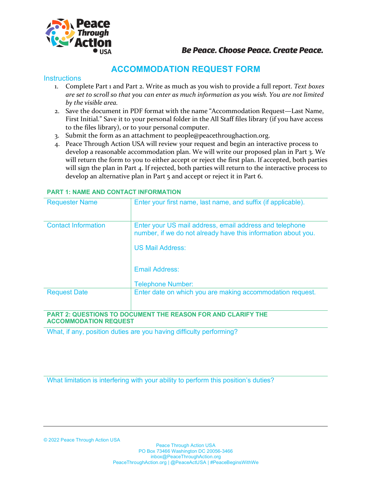

### **Be Peace. Choose Peace. Create Peace.**

## **ACCOMMODATION REQUEST FORM**

#### **Instructions**

- 1. Complete Part 1 and Part 2. Write as much as you wish to provide a full report. *Text boxes are set to scroll so that you can enter as much information as you wish. You are not limited by the visible area.*
- 2. Save the document in PDF format with the name "Accommodation Request—Last Name, First Initial." Save it to your personal folder in the All Staff files library (if you have access to the files library), or to your personal computer.
- 3. Submit the form as an attachment to people@peacethroughaction.org.
- 4. Peace Through Action USA will review your request and begin an interactive process to develop a reasonable accommodation plan. We will write our proposed plan in Part 3. We will return the form to you to either accept or reject the first plan. If accepted, both parties will sign the plan in Part 4. If rejected, both parties will return to the interactive process to develop an alternative plan in Part 5 and accept or reject it in Part 6.

| <b>Requester Name</b>        | Enter your first name, last name, and suffix (if applicable).                                                                                       |
|------------------------------|-----------------------------------------------------------------------------------------------------------------------------------------------------|
| <b>Contact Information</b>   | Enter your US mail address, email address and telephone<br>number, if we do not already have this information about you.<br><b>US Mail Address:</b> |
|                              | <b>Email Address:</b>                                                                                                                               |
|                              | <b>Telephone Number:</b>                                                                                                                            |
| <b>Request Date</b>          | Enter date on which you are making accommodation request.                                                                                           |
| <b>ACCOMMODATION REQUEST</b> | PART 2: QUESTIONS TO DOCUMENT THE REASON FOR AND CLARIFY THE                                                                                        |

#### **PART 1: NAME AND CONTACT INFORMATION**

What, if any, position duties are you having difficulty performing?

What limitation is interfering with your ability to perform this position's duties?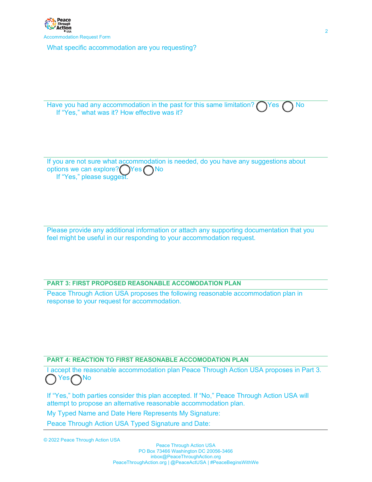What specific accommodation are you requesting?

| Have you had any accommodation in the past for this same limitation? $\bigcirc$ Yes $\bigcirc$ No |  |  |
|---------------------------------------------------------------------------------------------------|--|--|
| If "Yes," what was it? How effective was it?                                                      |  |  |

If you are not sure what accommodation is needed, do you have any suggestions about options we can explore?  $\bigcap$ Yes  $\bigcap$  No If "Yes," please suggest.

Please provide any additional information or attach any supporting documentation that you feel might be useful in our responding to your accommodation request.

#### **PART 3: FIRST PROPOSED REASONABLE ACCOMODATION PLAN**

Peace Through Action USA proposes the following reasonable accommodation plan in response to your request for accommodation.

#### **PART 4: REACTION TO FIRST REASONABLE ACCOMODATION PLAN**

I accept the reasonable accommodation plan Peace Through Action USA proposes in Part 3. Yes No

If "Yes," both parties consider this plan accepted. If "No," Peace Through Action USA will attempt to propose an alternative reasonable accommodation plan.

My Typed Name and Date Here Represents My Signature:

Peace Through Action USA Typed Signature and Date:

© 2022 Peace Through Action USA